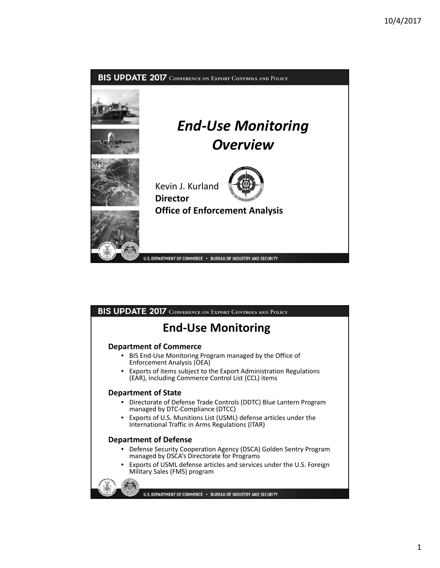

## BIS UPDATE 2017 CONFERENCE ON EXPORT CONTROLS AND POLICY

# **End‐Use Monitoring**

### **Department of Commerce**

- BIS End‐Use Monitoring Program managed by the Office of Enforcement Analysis (OEA)
- Exports of items subject to the Export Administration Regulations (EAR), including Commerce Control List (CCL) items

#### **Department of State**

- Directorate of Defense Trade Controls (DDTC) Blue Lantern Program managed by DTC‐Compliance (DTCC)
- Exports of U.S. Munitions List (USML) defense articles under the International Traffic in Arms Regulations (ITAR)

### **Department of Defense**

- Defense Security Cooperation Agency (DSCA) Golden Sentry Program managed by DSCA's Directorate for Programs
- Exports of USML defense articles and services under the U.S. Foreign Military Sales (FMS) program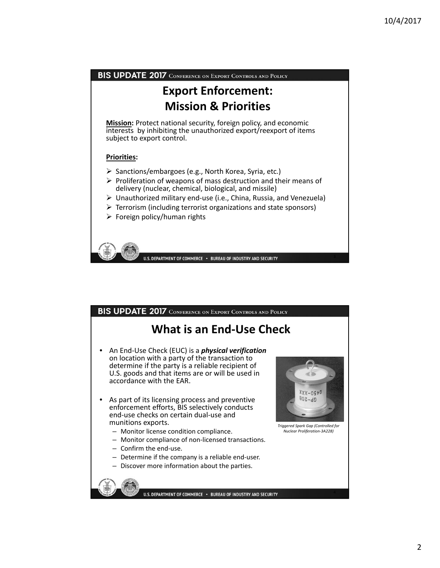

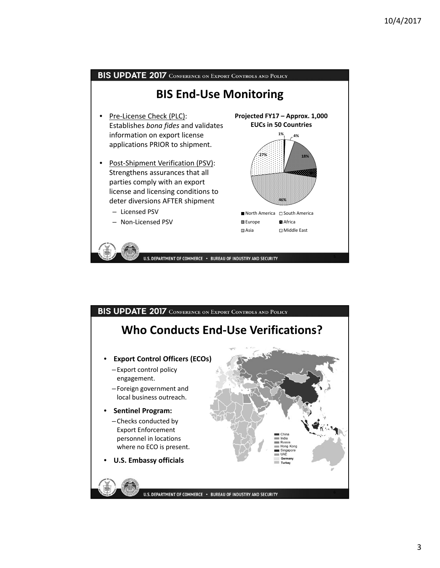

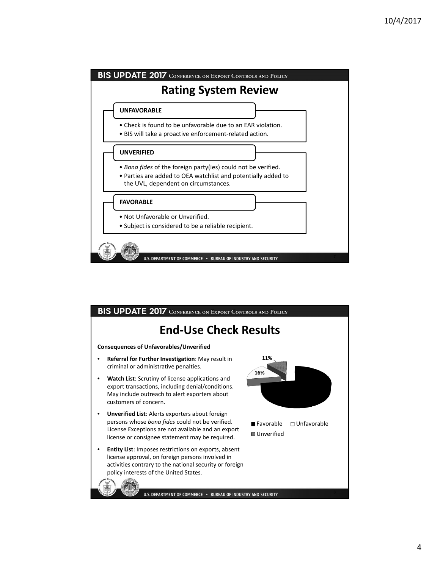

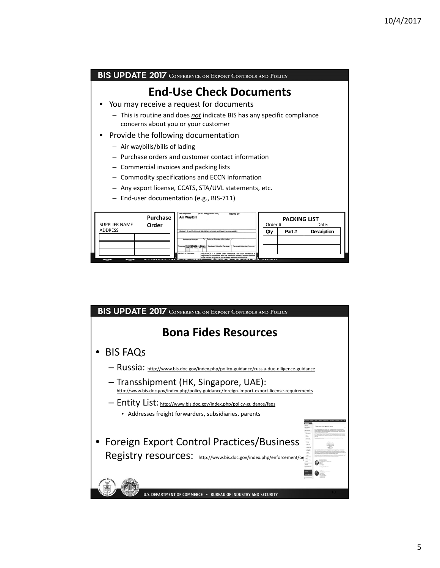9